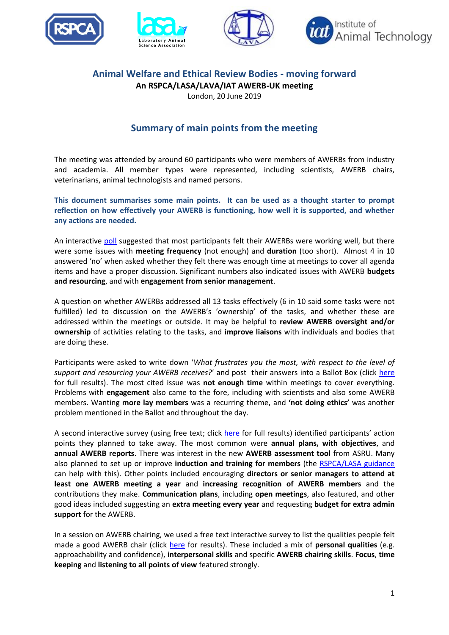

## **Animal Welfare and Ethical Review Bodies - moving forward**

**An RSPCA/LASA/LAVA/IAT AWERB-UK meeting**

London, 20 June 2019

## **Summary of main points from the meeting**

The meeting was attended by around 60 participants who were members of AWERBs from industry and academia. All member types were represented, including scientists, AWERB chairs, veterinarians, animal technologists and named persons.

**This document summarises some main points. It can be used as a thought starter to prompt reflection on how effectively your AWERB is functioning, how well it is supported, and whether any actions are needed.**

An interactive [poll](https://www.rspca.org.uk/webContent/staticImages/AWERBUK2019/4_Outcome_of_poll.pdf) suggested that most participants felt their AWERBs were working well, but there were some issues with **meeting frequency** (not enough) and **duration** (too short). Almost 4 in 10 answered 'no' when asked whether they felt there was enough time at meetings to cover all agenda items and have a proper discussion. Significant numbers also indicated issues with AWERB **budgets and resourcing**, and with **engagement from senior management**.

A question on whether AWERBs addressed all 13 tasks effectively (6 in 10 said some tasks were not fulfilled) led to discussion on the AWERB's 'ownership' of the tasks, and whether these are addressed within the meetings or outside. It may be helpful to **review AWERB oversight and/or ownership** of activities relating to the tasks, and **improve liaisons** with individuals and bodies that are doing these.

Participants were asked to write down '*What frustrates you the most, with respect to the level of*  support and resourcing your AWERB receives?' and post their answers into a Ballot Box (click [here](https://www.rspca.org.uk/webContent/staticImages/AWERBUK2019/3_Comments_on_support_and_resourcing_for_the_AWERB.pdf) for full results). The most cited issue was **not enough time** within meetings to cover everything. Problems with **engagement** also came to the fore, including with scientists and also some AWERB members. Wanting **more lay members** was a recurring theme, and **'not doing ethics'** was another problem mentioned in the Ballot and throughout the day.

A second interactive survey (using free text; click [here](https://www.rspca.org.uk/webContent/staticImages/AWERBUK2019/5_Action_points_for_achieving_more_support.pdf) for full results) identified participants' action points they planned to take away. The most common were **annual plans, with objectives**, and **annual AWERB reports**. There was interest in the new **AWERB assessment tool** from ASRU. Many also planned to set up or improve **induction and training for members** (the [RSPCA/LASA guidance](http://www.lasa.co.uk/wp-content/uploads/2018/05/AWERB-IP-Final.pdf) can help with this). Other points included encouraging **directors or senior managers to attend at least one AWERB meeting a year** and **increasing recognition of AWERB members** and the contributions they make. **Communication plans**, including **open meetings**, also featured, and other good ideas included suggesting an **extra meeting every year** and requesting **budget for extra admin support** for the AWERB.

In a session on AWERB chairing, we used a free text interactive survey to list the qualities people felt made a good AWERB chair (click [here](https://www.rspca.org.uk/webContent/staticImages/AWERBUK2019/7_What_qualities_make_a_good_AWERB_chair.pdf) for results). These included a mix of **personal qualities** (e.g. approachability and confidence), **interpersonal skills** and specific **AWERB chairing skills**. **Focus**, **time keeping** and **listening to all points of view** featured strongly.